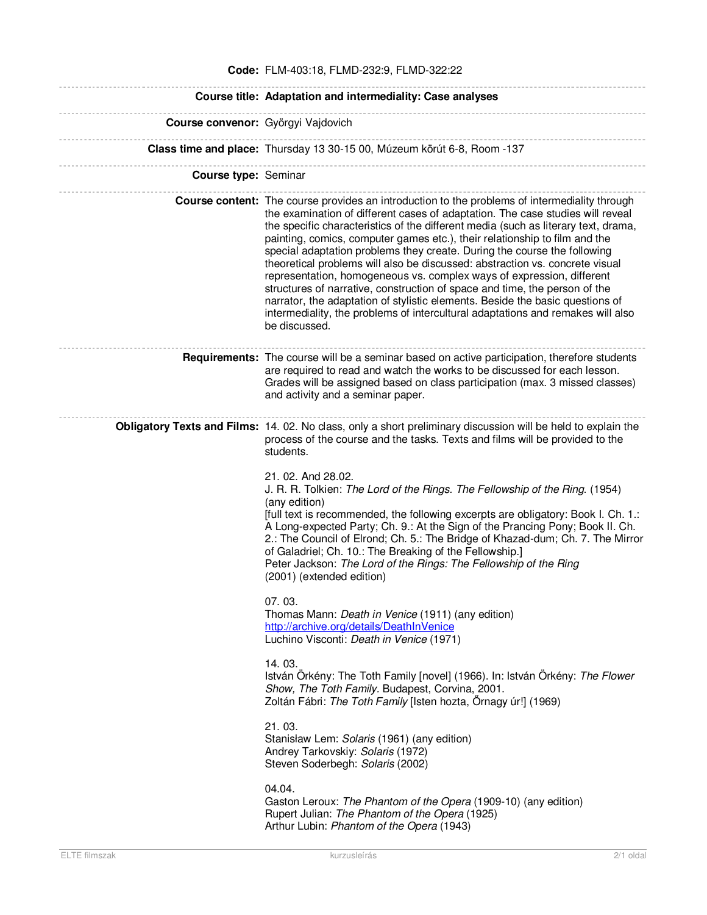|                                    | Code: FLM-403:18, FLMD-232:9, FLMD-322:22                                                                                                                                                                                                                                                                                                                                                                                                                                                                                                                                                                                                                                                                                                                                                                                                                                                                                                                                                                                                                                                                                                                                                                                                                                                                                                 |
|------------------------------------|-------------------------------------------------------------------------------------------------------------------------------------------------------------------------------------------------------------------------------------------------------------------------------------------------------------------------------------------------------------------------------------------------------------------------------------------------------------------------------------------------------------------------------------------------------------------------------------------------------------------------------------------------------------------------------------------------------------------------------------------------------------------------------------------------------------------------------------------------------------------------------------------------------------------------------------------------------------------------------------------------------------------------------------------------------------------------------------------------------------------------------------------------------------------------------------------------------------------------------------------------------------------------------------------------------------------------------------------|
|                                    | Course title: Adaptation and intermediality: Case analyses                                                                                                                                                                                                                                                                                                                                                                                                                                                                                                                                                                                                                                                                                                                                                                                                                                                                                                                                                                                                                                                                                                                                                                                                                                                                                |
| Course convenor: Györgyi Vajdovich |                                                                                                                                                                                                                                                                                                                                                                                                                                                                                                                                                                                                                                                                                                                                                                                                                                                                                                                                                                                                                                                                                                                                                                                                                                                                                                                                           |
|                                    | Class time and place: Thursday 13 30-15 00, Múzeum körút 6-8, Room -137                                                                                                                                                                                                                                                                                                                                                                                                                                                                                                                                                                                                                                                                                                                                                                                                                                                                                                                                                                                                                                                                                                                                                                                                                                                                   |
| <b>Course type: Seminar</b>        |                                                                                                                                                                                                                                                                                                                                                                                                                                                                                                                                                                                                                                                                                                                                                                                                                                                                                                                                                                                                                                                                                                                                                                                                                                                                                                                                           |
|                                    | <b>Course content:</b> The course provides an introduction to the problems of intermediality through<br>the examination of different cases of adaptation. The case studies will reveal<br>the specific characteristics of the different media (such as literary text, drama,<br>painting, comics, computer games etc.), their relationship to film and the<br>special adaptation problems they create. During the course the following<br>theoretical problems will also be discussed: abstraction vs. concrete visual<br>representation, homogeneous vs. complex ways of expression, different<br>structures of narrative, construction of space and time, the person of the<br>narrator, the adaptation of stylistic elements. Beside the basic questions of<br>intermediality, the problems of intercultural adaptations and remakes will also<br>be discussed.                                                                                                                                                                                                                                                                                                                                                                                                                                                                        |
|                                    | <b>Requirements:</b> The course will be a seminar based on active participation, therefore students<br>are required to read and watch the works to be discussed for each lesson.<br>Grades will be assigned based on class participation (max. 3 missed classes)<br>and activity and a seminar paper.                                                                                                                                                                                                                                                                                                                                                                                                                                                                                                                                                                                                                                                                                                                                                                                                                                                                                                                                                                                                                                     |
|                                    | Obligatory Texts and Films: 14. 02. No class, only a short preliminary discussion will be held to explain the<br>process of the course and the tasks. Texts and films will be provided to the<br>students.<br>21. 02. And 28.02.<br>J. R. R. Tolkien: The Lord of the Rings. The Fellowship of the Ring. (1954)<br>(any edition)<br>[full text is recommended, the following excerpts are obligatory: Book I. Ch. 1.:<br>A Long-expected Party; Ch. 9.: At the Sign of the Prancing Pony; Book II. Ch.<br>2.: The Council of Elrond; Ch. 5.: The Bridge of Khazad-dum; Ch. 7. The Mirror<br>of Galadriel; Ch. 10.: The Breaking of the Fellowship.]<br>Peter Jackson: The Lord of the Rings: The Fellowship of the Ring<br>(2001) (extended edition)<br>07.03.<br>Thomas Mann: Death in Venice (1911) (any edition)<br>http://archive.org/details/DeathInVenice<br>Luchino Visconti: Death in Venice (1971)<br>14.03.<br>István Örkény: The Toth Family [novel] (1966). In: István Örkény: The Flower<br>Show, The Toth Family. Budapest, Corvina, 2001.<br>Zoltán Fábri: The Toth Family [Isten hozta, Őrnagy úr!] (1969)<br>21.03.<br>Stanisław Lem: Solaris (1961) (any edition)<br>Andrey Tarkovskiy: Solaris (1972)<br>Steven Soderbegh: Solaris (2002)<br>04.04.<br>Gaston Leroux: The Phantom of the Opera (1909-10) (any edition) |
|                                    | Rupert Julian: The Phantom of the Opera (1925)<br>Arthur Lubin: Phantom of the Opera (1943)                                                                                                                                                                                                                                                                                                                                                                                                                                                                                                                                                                                                                                                                                                                                                                                                                                                                                                                                                                                                                                                                                                                                                                                                                                               |